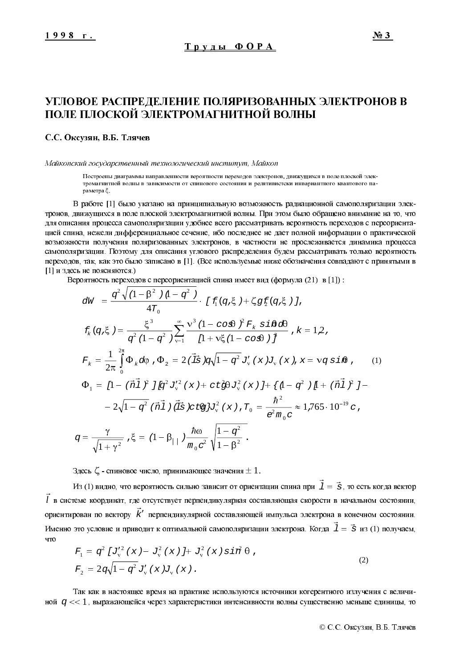# УГЛОВОЕ РАСПРЕДЕЛЕНИЕ ПОЛЯРИЗОВАННЫХ ЭЛЕКТРОНОВ В ПОЛЕ ПЛОСКОЙ ЭЛЕКТРОМАГНИТНОЙ ВОЛНЫ

#### С.С. Оксузян, В.Б. Тлячев

Майкопский государственный технологический институт, Майкоп

Построены диаграммы направленности вероятности переходов электронов, движущихся в поле плоской электромагнитной волны в зависимости от спинового состояния и релятивистски инвариантного квантового параметра  $\xi$ .

В работе [1] было указано на принципиальную возможность радиационной самополяризации электронов, движущихся в поле плоской электромагнитной волны. При этом было обращено внимание на то, что для описания процесса самополяризации удобнее всего рассматривать вероятность переходов с переориентацией спина, нежели дифференциальное сечение, ибо последнее не дает полной информации о практической возможности получения поляризованных электронов, в частности не прослеживается динамика процесса самополяризации. Поэтому для описания углового распределения будем рассматривать только вероятность переходов, так, как это было записано в [1]. (Все используемые ниже обозначения совпадают с принятыми в [1] и здесь не поясняются.)

Вероятность переходов с переориентацией спина имеет вид (формула (21) в [1]):

$$
dW = \frac{q^2 \sqrt{(1 - \beta^2)(1 - q^2)}}{4T_0} \cdot [f(q, \xi) + \zeta g f(q, \xi)],
$$
  
\n
$$
f_k(q, \xi) = \frac{\xi^3}{q^2 (1 - q^2)} \sum_{v=1}^{\infty} \frac{v^3 (1 - \cos \theta)^2 F_k \sin \theta d\theta}{[1 + v \xi (1 - \cos \theta)]^{\frac{3}{2}}} , k = 12,
$$
  
\n
$$
F_k = \frac{1}{2\pi} \int_{0}^{2\pi} \Phi_k d\phi, \Phi_2 = 2 (\vec{1}s) q \sqrt{1 - q^2} J_v'(x) J_v(x), x = v q \sin \theta, \qquad (1)
$$
  
\n
$$
\Phi_1 = [1 - (\vec{n} \vec{1})^2] [q^2 J_v'^2(x) + ct \zeta \theta J_v^2(x)] + \{1 - q^2 (1 + \vec{n} \vec{1})^2\} - 2\sqrt{1 - q^2} (\vec{n} \vec{1}) (\vec{1} \vec{s}) ct \theta J_v^2(x), T_0 = \frac{\hbar^2}{e^2 m_0 c} \approx 1.765 \cdot 10^{-19} c,
$$
  
\n
$$
q = \frac{\gamma}{\sqrt{1 + \gamma^2}}, \xi = (1 - \beta_{11}) \frac{\hbar \omega}{m_0 c^2} \sqrt{\frac{1 - q^2}{1 - \beta^2}}.
$$

Здесь  $\zeta$  - спиновое число, принимающее значения  $\pm$  1.

Из (1) видно, что вероятность сильно зависит от ориентации спина при  $\,I=\vec{s}\,$  $\vec{I} = \vec{s}$ , то есть когда вектор *l*  $\vec{l}$  в системе координат, где отсутствует перпендикулярная составляющая скорости в начальном состоянии, ориентирован по вектору  $\vec{k}'$  перпендикулярной составляющей импульса электрона в конечном состоянии. Именно это условие и приводит к оптимальной самополяризации электрона. Когда  $\mathit{1} = \vec{s}$  $\vec{l} = \vec{s}$  из (1) получаем, что  $\overline{\phantom{a}}$ 

$$
F_1 = q^2 \left[ J_v'^2 \left( x \right) - J_v^2 \left( x \right) \right] + J_v^2 \left( x \right) \sin^2 \theta ,
$$
  
\n
$$
F_2 = 2q \sqrt{1 - q^2} J_v' \left( x \right) J_v \left( x \right) .
$$
\n(2)

Так как в настоящее время на практике используются источники когерентного излучения с величиной  $\,q << 1$  , выражающейся через характеристики интенсивности волны существенно меньше единицы, то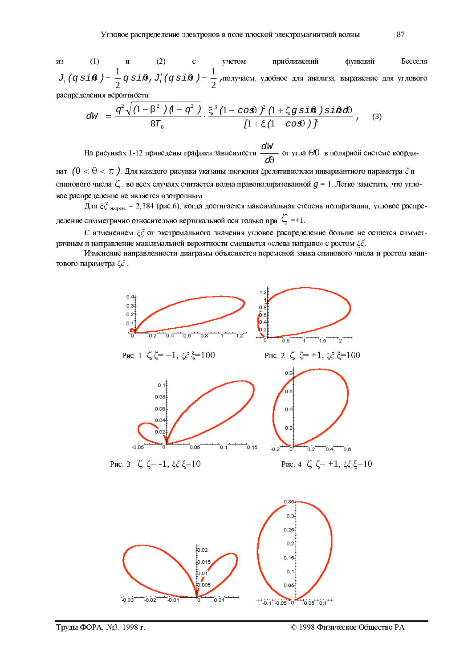$(1)$  $(2)$ И3  $\overline{\mathbf{M}}$ учетом приближений функций Бесселя  $J_1(q \sin \theta) = \frac{1}{2} q \sin \theta$ ,  $J_1'(q \sin \theta) = \frac{1}{2}$ , получаем, удобное для анализа, выражение для углового распределения вероятности:

$$
dW = \frac{q^2 \sqrt{(1 - \beta^2)(1 - q^2)}}{8T_0} \cdot \frac{\xi^3 (1 - \cos\theta)^2 (1 + \zeta g \sin\theta) \sin\theta d\theta}{[1 + \xi (1 - \cos\theta)]^{\frac{2}{J}}},
$$
(3)

На рисунках 1-12 приведены графики зависимости  $\frac{dW}{d\theta}$  от угла  $\Theta\theta$  в полярной системе координат ( $0 < \theta < \pi$ ). Для каждого рисунка указаны значения  $\xi$ релятивистски инвариантного параметра  $\xi$  и спинового числа  $\zeta$ , во всех случаях считается волна правополяризованной  $g = 1$ . Легко заметить, что угловое распределение не является изотропным.

Для  $\xi \xi$  <sub>жерем.</sub> = 2,384 (рис.6), когда достигается максимальная степень поляризации, угловое распределение симметрично относительно вертикальной оси только при  $\zeta$  =+1.

С изменением  $\xi \xi$  от экстремального значения угловое распределение больше не остается симметричным и направление максимальной вероятности смещается «слева направо» с ростом ξζ.

Изменение направленности диаграмм объясняется переменой знака спинового числа и ростом квантового параметра  $\xi \xi$ .

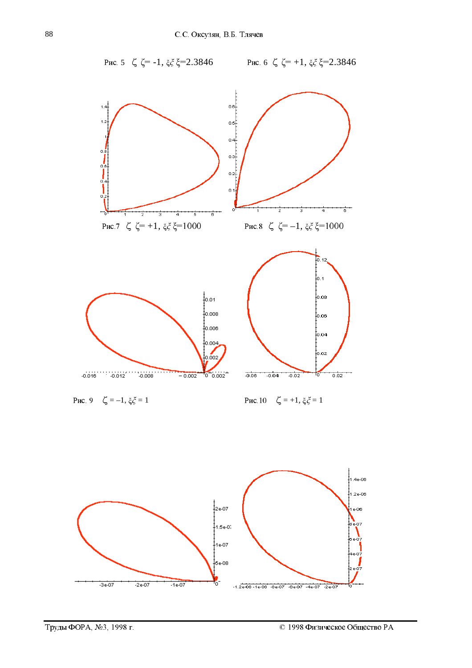Puc. 5  $\zeta \zeta = -1, \xi \zeta \xi = 2.3846$ 

Puc. 6  $\zeta$   $\zeta$  = +1,  $\xi \xi$  = 2.3846



Puc. 9  $\zeta = -1, \xi \xi = 1$ 

Puc.10  $\zeta = +1, \xi \xi = 1$